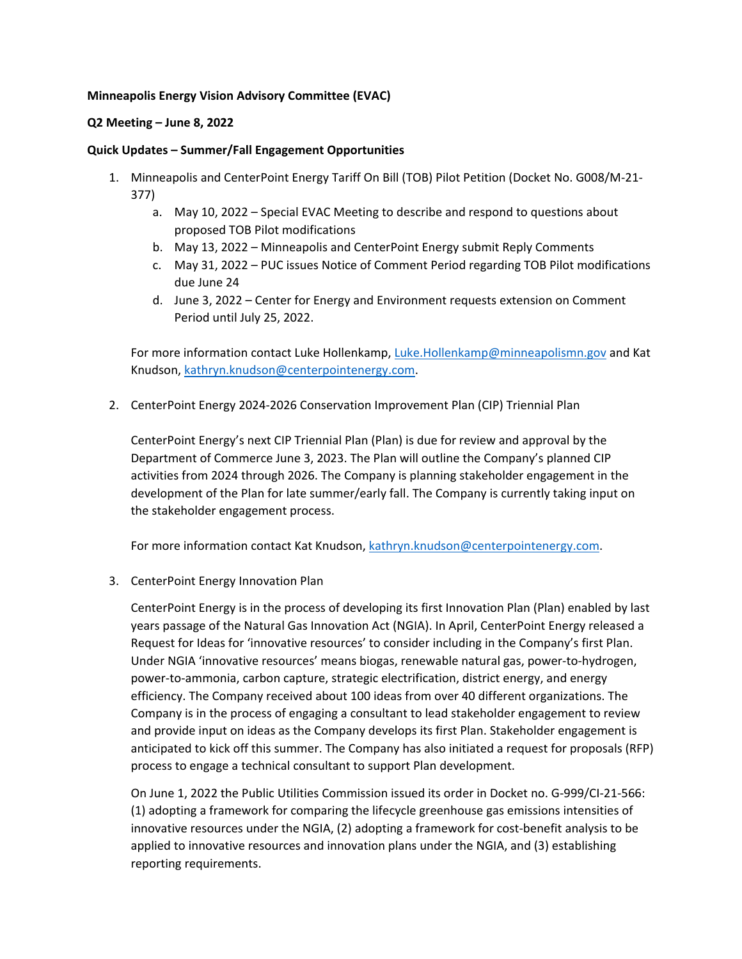## **Minneapolis Energy Vision Advisory Committee (EVAC)**

## **Q2 Meeting – June 8, 2022**

## **Quick Updates – Summer/Fall Engagement Opportunities**

- 1. Minneapolis and CenterPoint Energy Tariff On Bill (TOB) Pilot Petition (Docket No. G008/M-21- 377)
	- a. May 10, 2022 Special EVAC Meeting to describe and respond to questions about proposed TOB Pilot modifications
	- b. May 13, 2022 Minneapolis and CenterPoint Energy submit Reply Comments
	- c. May 31, 2022 PUC issues Notice of Comment Period regarding TOB Pilot modifications due June 24
	- d. June 3, 2022 Center for Energy and Environment requests extension on Comment Period until July 25, 2022.

For more information contact Luke Hollenkamp[, Luke.Hollenkamp@minneapolismn.gov](mailto:Luke.Hollenkamp@minneapolismn.gov) and Kat Knudson, [kathryn.knudson@centerpointenergy.com.](mailto:kathryn.knudson@centerpointenergy.com)

2. CenterPoint Energy 2024-2026 Conservation Improvement Plan (CIP) Triennial Plan

CenterPoint Energy's next CIP Triennial Plan (Plan) is due for review and approval by the Department of Commerce June 3, 2023. The Plan will outline the Company's planned CIP activities from 2024 through 2026. The Company is planning stakeholder engagement in the development of the Plan for late summer/early fall. The Company is currently taking input on the stakeholder engagement process.

For more information contact Kat Knudson[, kathryn.knudson@centerpointenergy.com.](mailto:kathryn.knudson@centerpointenergy.com)

3. CenterPoint Energy Innovation Plan

CenterPoint Energy is in the process of developing its first Innovation Plan (Plan) enabled by last years passage of the Natural Gas Innovation Act (NGIA). In April, CenterPoint Energy released a Request for Ideas for 'innovative resources' to consider including in the Company's first Plan. Under NGIA 'innovative resources' means biogas, renewable natural gas, power-to-hydrogen, power-to-ammonia, carbon capture, strategic electrification, district energy, and energy efficiency. The Company received about 100 ideas from over 40 different organizations. The Company is in the process of engaging a consultant to lead stakeholder engagement to review and provide input on ideas as the Company develops its first Plan. Stakeholder engagement is anticipated to kick off this summer. The Company has also initiated a request for proposals (RFP) process to engage a technical consultant to support Plan development.

On June 1, 2022 the Public Utilities Commission issued its order in Docket no. G-999/CI-21-566: (1) adopting a framework for comparing the lifecycle greenhouse gas emissions intensities of innovative resources under the NGIA, (2) adopting a framework for cost-benefit analysis to be applied to innovative resources and innovation plans under the NGIA, and (3) establishing reporting requirements.